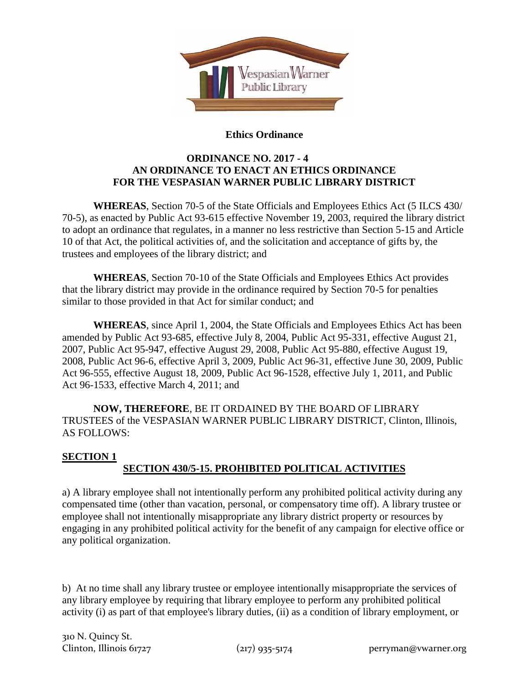

## **Ethics Ordinance**

# **ORDINANCE NO. 2017 - 4 AN ORDINANCE TO ENACT AN ETHICS ORDINANCE FOR THE VESPASIAN WARNER PUBLIC LIBRARY DISTRICT**

**WHEREAS**, Section 70-5 of the State Officials and Employees Ethics Act (5 ILCS 430/ 70-5), as enacted by Public Act 93-615 effective November 19, 2003, required the library district to adopt an ordinance that regulates, in a manner no less restrictive than Section 5-15 and Article 10 of that Act, the political activities of, and the solicitation and acceptance of gifts by, the trustees and employees of the library district; and

**WHEREAS**, Section 70-10 of the State Officials and Employees Ethics Act provides that the library district may provide in the ordinance required by Section 70-5 for penalties similar to those provided in that Act for similar conduct; and

**WHEREAS**, since April 1, 2004, the State Officials and Employees Ethics Act has been amended by Public Act 93-685, effective July 8, 2004, Public Act 95-331, effective August 21, 2007, Public Act 95-947, effective August 29, 2008, Public Act 95-880, effective August 19, 2008, Public Act 96-6, effective April 3, 2009, Public Act 96-31, effective June 30, 2009, Public Act 96-555, effective August 18, 2009, Public Act 96-1528, effective July 1, 2011, and Public Act 96-1533, effective March 4, 2011; and

**NOW, THEREFORE**, BE IT ORDAINED BY THE BOARD OF LIBRARY TRUSTEES of the VESPASIAN WARNER PUBLIC LIBRARY DISTRICT, Clinton, Illinois, AS FOLLOWS:

#### **SECTION 1 SECTION 430/5-15. PROHIBITED POLITICAL ACTIVITIES**

a) A library employee shall not intentionally perform any prohibited political activity during any compensated time (other than vacation, personal, or compensatory time off). A library trustee or employee shall not intentionally misappropriate any library district property or resources by engaging in any prohibited political activity for the benefit of any campaign for elective office or any political organization.

b) At no time shall any library trustee or employee intentionally misappropriate the services of any library employee by requiring that library employee to perform any prohibited political activity (i) as part of that employee's library duties, (ii) as a condition of library employment, or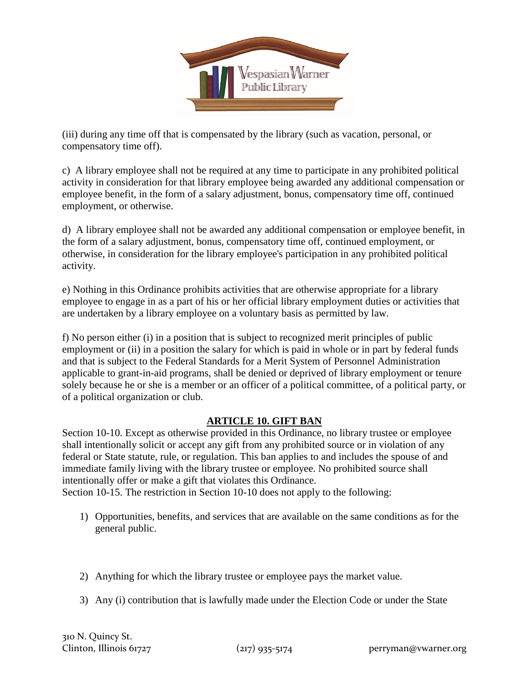

(iii) during any time off that is compensated by the library (such as vacation, personal, or compensatory time off).

c) A library employee shall not be required at any time to participate in any prohibited political activity in consideration for that library employee being awarded any additional compensation or employee benefit, in the form of a salary adjustment, bonus, compensatory time off, continued employment, or otherwise.

d) A library employee shall not be awarded any additional compensation or employee benefit, in the form of a salary adjustment, bonus, compensatory time off, continued employment, or otherwise, in consideration for the library employee's participation in any prohibited political activity.

e) Nothing in this Ordinance prohibits activities that are otherwise appropriate for a library employee to engage in as a part of his or her official library employment duties or activities that are undertaken by a library employee on a voluntary basis as permitted by law.

f) No person either (i) in a position that is subject to recognized merit principles of public employment or (ii) in a position the salary for which is paid in whole or in part by federal funds and that is subject to the Federal Standards for a Merit System of Personnel Administration applicable to grant-in-aid programs, shall be denied or deprived of library employment or tenure solely because he or she is a member or an officer of a political committee, of a political party, or of a political organization or club.

# **ARTICLE 10. GIFT BAN**

Section 10-10. Except as otherwise provided in this Ordinance, no library trustee or employee shall intentionally solicit or accept any gift from any prohibited source or in violation of any federal or State statute, rule, or regulation. This ban applies to and includes the spouse of and immediate family living with the library trustee or employee. No prohibited source shall intentionally offer or make a gift that violates this Ordinance.

Section 10-15. The restriction in Section 10-10 does not apply to the following:

- 1) Opportunities, benefits, and services that are available on the same conditions as for the general public.
- 2) Anything for which the library trustee or employee pays the market value.
- 3) Any (i) contribution that is lawfully made under the Election Code or under the State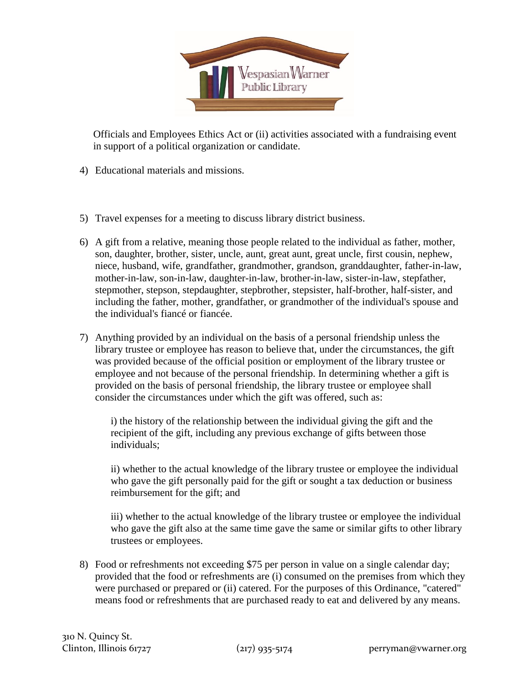

Officials and Employees Ethics Act or (ii) activities associated with a fundraising event in support of a political organization or candidate.

- 4) Educational materials and missions.
- 5) Travel expenses for a meeting to discuss library district business.
- 6) A gift from a relative, meaning those people related to the individual as father, mother, son, daughter, brother, sister, uncle, aunt, great aunt, great uncle, first cousin, nephew, niece, husband, wife, grandfather, grandmother, grandson, granddaughter, father-in-law, mother-in-law, son-in-law, daughter-in-law, brother-in-law, sister-in-law, stepfather, stepmother, stepson, stepdaughter, stepbrother, stepsister, half-brother, half-sister, and including the father, mother, grandfather, or grandmother of the individual's spouse and the individual's fiancé or fiancée.
- 7) Anything provided by an individual on the basis of a personal friendship unless the library trustee or employee has reason to believe that, under the circumstances, the gift was provided because of the official position or employment of the library trustee or employee and not because of the personal friendship. In determining whether a gift is provided on the basis of personal friendship, the library trustee or employee shall consider the circumstances under which the gift was offered, such as:

i) the history of the relationship between the individual giving the gift and the recipient of the gift, including any previous exchange of gifts between those individuals;

ii) whether to the actual knowledge of the library trustee or employee the individual who gave the gift personally paid for the gift or sought a tax deduction or business reimbursement for the gift; and

iii) whether to the actual knowledge of the library trustee or employee the individual who gave the gift also at the same time gave the same or similar gifts to other library trustees or employees.

8) Food or refreshments not exceeding \$75 per person in value on a single calendar day; provided that the food or refreshments are (i) consumed on the premises from which they were purchased or prepared or (ii) catered. For the purposes of this Ordinance, "catered" means food or refreshments that are purchased ready to eat and delivered by any means.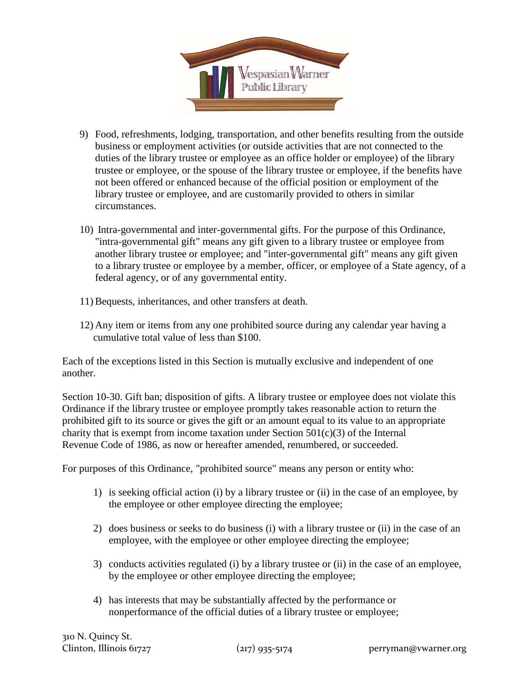

- 9) Food, refreshments, lodging, transportation, and other benefits resulting from the outside business or employment activities (or outside activities that are not connected to the duties of the library trustee or employee as an office holder or employee) of the library trustee or employee, or the spouse of the library trustee or employee, if the benefits have not been offered or enhanced because of the official position or employment of the library trustee or employee, and are customarily provided to others in similar circumstances.
- 10) Intra-governmental and inter-governmental gifts. For the purpose of this Ordinance, "intra-governmental gift" means any gift given to a library trustee or employee from another library trustee or employee; and "inter-governmental gift" means any gift given to a library trustee or employee by a member, officer, or employee of a State agency, of a federal agency, or of any governmental entity.
- 11)Bequests, inheritances, and other transfers at death.
- 12) Any item or items from any one prohibited source during any calendar year having a cumulative total value of less than \$100.

Each of the exceptions listed in this Section is mutually exclusive and independent of one another.

Section 10-30. Gift ban; disposition of gifts. A library trustee or employee does not violate this Ordinance if the library trustee or employee promptly takes reasonable action to return the prohibited gift to its source or gives the gift or an amount equal to its value to an appropriate charity that is exempt from income taxation under Section  $501(c)(3)$  of the Internal Revenue Code of 1986, as now or hereafter amended, renumbered, or succeeded.

For purposes of this Ordinance, "prohibited source" means any person or entity who:

- 1) is seeking official action (i) by a library trustee or (ii) in the case of an employee, by the employee or other employee directing the employee;
- 2) does business or seeks to do business (i) with a library trustee or (ii) in the case of an employee, with the employee or other employee directing the employee;
- 3) conducts activities regulated (i) by a library trustee or (ii) in the case of an employee, by the employee or other employee directing the employee;
- 4) has interests that may be substantially affected by the performance or nonperformance of the official duties of a library trustee or employee;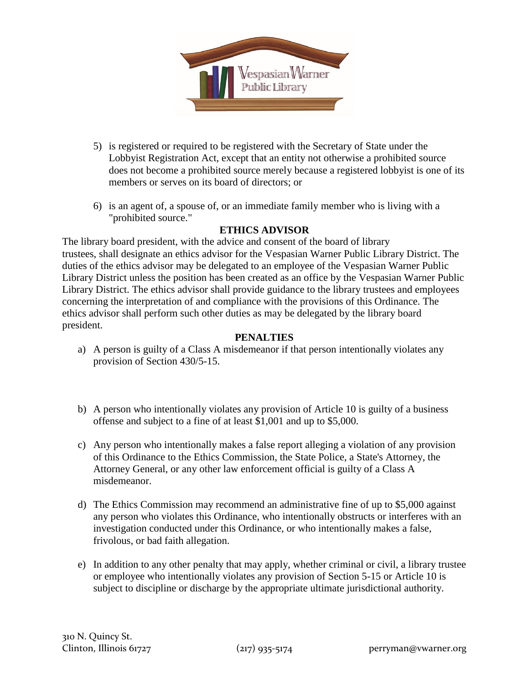

- 5) is registered or required to be registered with the Secretary of State under the Lobbyist Registration Act, except that an entity not otherwise a prohibited source does not become a prohibited source merely because a registered lobbyist is one of its members or serves on its board of directors; or
- 6) is an agent of, a spouse of, or an immediate family member who is living with a "prohibited source."

# **ETHICS ADVISOR**

The library board president, with the advice and consent of the board of library trustees, shall designate an ethics advisor for the Vespasian Warner Public Library District. The duties of the ethics advisor may be delegated to an employee of the Vespasian Warner Public Library District unless the position has been created as an office by the Vespasian Warner Public Library District. The ethics advisor shall provide guidance to the library trustees and employees concerning the interpretation of and compliance with the provisions of this Ordinance. The ethics advisor shall perform such other duties as may be delegated by the library board president.

## **PENALTIES**

- a) A person is guilty of a Class A misdemeanor if that person intentionally violates any provision of Section 430/5-15.
- b) A person who intentionally violates any provision of Article 10 is guilty of a business offense and subject to a fine of at least \$1,001 and up to \$5,000.
- c) Any person who intentionally makes a false report alleging a violation of any provision of this Ordinance to the Ethics Commission, the State Police, a State's Attorney, the Attorney General, or any other law enforcement official is guilty of a Class A misdemeanor.
- d) The Ethics Commission may recommend an administrative fine of up to \$5,000 against any person who violates this Ordinance, who intentionally obstructs or interferes with an investigation conducted under this Ordinance, or who intentionally makes a false, frivolous, or bad faith allegation.
- e) In addition to any other penalty that may apply, whether criminal or civil, a library trustee or employee who intentionally violates any provision of Section 5-15 or Article 10 is subject to discipline or discharge by the appropriate ultimate jurisdictional authority.